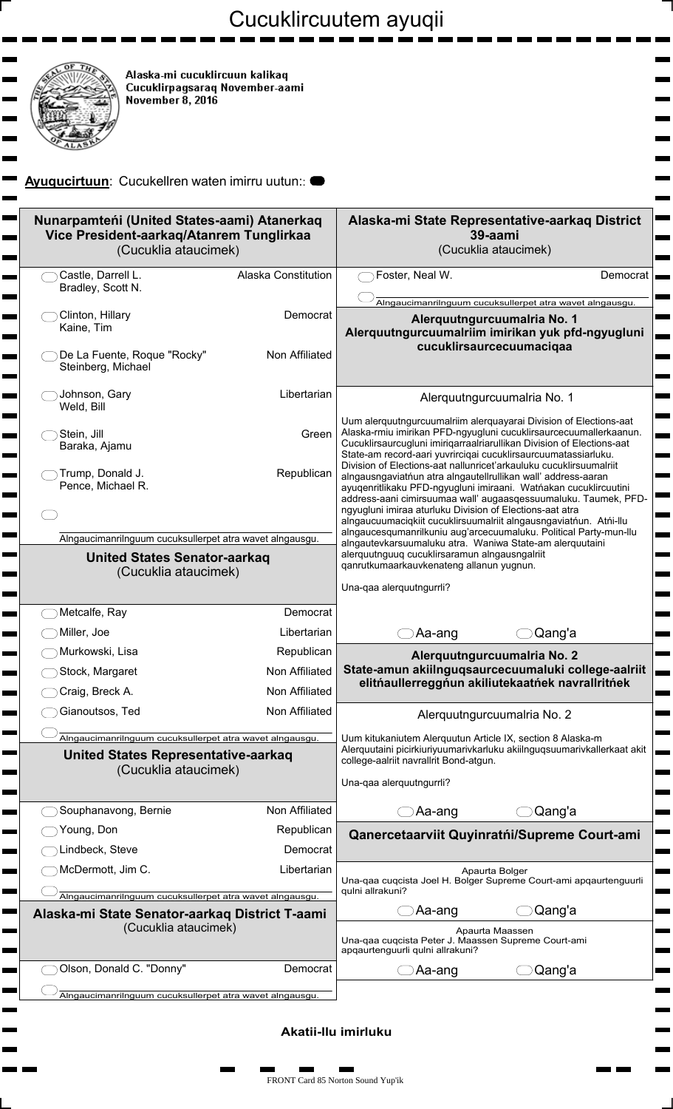## Cucuklircuutem ayuqii

Ξ

 $\blacksquare$ 

 $\blacksquare$  $\overline{\phantom{0}}$ 

 $\blacksquare$ man i

 $\blacksquare$ 

 $\blacksquare$ 

 $\overline{\phantom{a}}$  $\blacksquare$ 

 $\blacksquare$  $\blacksquare$ 

 $\blacksquare$ 

 $\mathbf{r}$ 

 $\overline{\phantom{0}}$ 

 $\overline{\phantom{0}}$ 

 $\blacksquare$ 

 $\blacksquare$ 

 $\blacksquare$ 

ш

 $\blacksquare$ 

 $\blacksquare$ 

O,

 $\blacksquare$ 

ш 

> ш  $\blacksquare$

> > $\blacksquare$



m.  $\blacksquare$ 

 $\mathbf{r}$ 

 $\mathbf{r}$ 

 $\mathbf{r}$  $\mathbf{r}$  $\mathbf{r}$ 

m.

 $\mathbf{r}$ 

 $\blacksquare$  $\mathbf{r}$ 

 $\mathbf{r}$ 

 $\mathbf{r}$ 

 $\blacksquare$ 

m.

 $\mathbf{r}$ 

 $\blacksquare$ 

 $\mathbf{r}$ 

 $\blacksquare$ 

 $\blacksquare$ 

 $\blacksquare$ 

 $\mathbf{r}$ 

 $\blacksquare$  $\mathbf{r}$ 

 $\overline{\phantom{0}}$  $\mathbf{r}$ 

 $\mathbf{r}$ 

 $\blacksquare$ 

Alaska-mi cucuklircuun kalikaq<br>Cucuklirpagsaraq November-aami<br>November 8, 2016

## **Ayuqucirtuun**: Cucukellren waten imirru uutun::

| Nunarpamteńi (United States-aami) Atanerkag<br>Vice President-aarkaq/Atanrem Tunglirkaa<br>(Cucuklia ataucimek) |                            | Alaska-mi State Representative-aarkaq District<br>39-aami<br>(Cucuklia ataucimek)                                                                                                                                                                                                                                                                                                                                                                                                |
|-----------------------------------------------------------------------------------------------------------------|----------------------------|----------------------------------------------------------------------------------------------------------------------------------------------------------------------------------------------------------------------------------------------------------------------------------------------------------------------------------------------------------------------------------------------------------------------------------------------------------------------------------|
| Castle, Darrell L.<br>Bradley, Scott N.                                                                         | <b>Alaska Constitution</b> | Foster, Neal W.<br>Democrat                                                                                                                                                                                                                                                                                                                                                                                                                                                      |
| Clinton, Hillary<br>Kaine, Tim                                                                                  | Democrat<br>Non Affiliated | Alngaucimanrilnguum cucuksullerpet atra wavet alngausgu.<br>Alerquutngurcuumalria No. 1<br>Alerquutngurcuumalriim imirikan yuk pfd-ngyugluni<br>cucuklirsaurcecuumaciqaa                                                                                                                                                                                                                                                                                                         |
| De La Fuente, Roque "Rocky"<br>Steinberg, Michael                                                               |                            |                                                                                                                                                                                                                                                                                                                                                                                                                                                                                  |
| Johnson, Gary<br>Weld, Bill                                                                                     | Libertarian                | Alerquutngurcuumalria No. 1                                                                                                                                                                                                                                                                                                                                                                                                                                                      |
| Stein, Jill<br>Baraka, Ajamu                                                                                    | Green                      | Uum alerquutngurcuumalriim alerquayarai Division of Elections-aat<br>Alaska-rmiu imirikan PFD-ngyugluni cucuklirsaurcecuumallerkaanun.<br>Cucuklirsaurcugluni imiriqarraalriarullikan Division of Elections-aat<br>State-am record-aari yuvrirciqai cucuklirsaurcuumatassiarluku.                                                                                                                                                                                                |
| Trump, Donald J.<br>Pence, Michael R.                                                                           | Republican                 | Division of Elections-aat nallunricet'arkauluku cucuklirsuumalriit<br>alngausngaviatńun atra alngautellrullikan wall' address-aaran<br>ayuqenritlikaku PFD-ngyugluni imiraani. Watńakan cucuklircuutini<br>address-aani cimirsuumaa wall' augaasqessuumaluku. Taumek, PFD-<br>ngyugluni imiraa aturluku Division of Elections-aat atra<br>alngaucuumaciqkiit cucuklirsuumalriit alngausngaviatńun. Atńi-llu<br>alngaucesqumanrilkuniu aug'arcecuumaluku. Political Party-mun-Ilu |
| Alngaucimanrilnguum cucuksullerpet atra wavet alngausgu.                                                        |                            |                                                                                                                                                                                                                                                                                                                                                                                                                                                                                  |
| <b>United States Senator-aarkag</b><br>(Cucuklia ataucimek)                                                     |                            | alngautevkarsuumaluku atra. Waniwa State-am alerquutaini<br>alerquutnguuq cucuklirsaramun alngausngalriit<br>qanrutkumaarkauvkenateng allanun yugnun.                                                                                                                                                                                                                                                                                                                            |
|                                                                                                                 |                            | Una-qaa alerquutngurrli?                                                                                                                                                                                                                                                                                                                                                                                                                                                         |
| Metcalfe, Ray                                                                                                   | Democrat                   |                                                                                                                                                                                                                                                                                                                                                                                                                                                                                  |
| Miller, Joe                                                                                                     | Libertarian                | Qang'a<br>Aa-ang                                                                                                                                                                                                                                                                                                                                                                                                                                                                 |
| Murkowski, Lisa                                                                                                 | Republican                 | Alerquutngurcuumalria No. 2                                                                                                                                                                                                                                                                                                                                                                                                                                                      |
| Stock, Margaret                                                                                                 | Non Affiliated             | State-amun akiilnguqsaurcecuumaluki college-aalriit<br>elitńaullerreggńun akiliutekaatńek navrallritńek                                                                                                                                                                                                                                                                                                                                                                          |
| Craig, Breck A.                                                                                                 | Non Affiliated             |                                                                                                                                                                                                                                                                                                                                                                                                                                                                                  |
| Gianoutsos, Ted                                                                                                 | Non Affiliated             | Alerquutngurcuumalria No. 2                                                                                                                                                                                                                                                                                                                                                                                                                                                      |
| Alngaucimanrilnguum cucuksullerpet atra wavet alngausgu.                                                        |                            | Uum kitukaniutem Alerquutun Article IX, section 8 Alaska-m<br>Alerquutaini picirkiuriyuumarivkarluku akiilnguqsuumarivkallerkaat akit                                                                                                                                                                                                                                                                                                                                            |
| <b>United States Representative-aarkaq</b><br>(Cucuklia ataucimek)                                              |                            | college-aalriit navrallrit Bond-atgun.<br>Una-qaa alerquutngurrli?                                                                                                                                                                                                                                                                                                                                                                                                               |
| Souphanavong, Bernie                                                                                            | Non Affiliated             | Qang'a<br>Aa-ang                                                                                                                                                                                                                                                                                                                                                                                                                                                                 |
| Young, Don                                                                                                      | Republican                 | Qanercetaarviit Quyinratńi/Supreme Court-ami                                                                                                                                                                                                                                                                                                                                                                                                                                     |
| Lindbeck, Steve                                                                                                 | Democrat                   |                                                                                                                                                                                                                                                                                                                                                                                                                                                                                  |
| McDermott, Jim C.                                                                                               | Libertarian                | Apaurta Bolger                                                                                                                                                                                                                                                                                                                                                                                                                                                                   |
| Alngaucimanrilnguum cucuksullerpet atra wavet alngausgu.                                                        |                            | Una-qaa cuqcista Joel H. Bolger Supreme Court-ami apqaurtenguurli<br>quini allrakuni?                                                                                                                                                                                                                                                                                                                                                                                            |
| Alaska-mi State Senator-aarkaq District T-aami                                                                  |                            | Qang'a<br>Aa-ang                                                                                                                                                                                                                                                                                                                                                                                                                                                                 |
| (Cucuklia ataucimek)                                                                                            |                            | Apaurta Maassen<br>Una-gaa cuqcista Peter J. Maassen Supreme Court-ami<br>apqaurtenguurli qulni allrakuni?                                                                                                                                                                                                                                                                                                                                                                       |
| Olson, Donald C. "Donny"                                                                                        | Democrat                   | Qang'a<br>Aa-ang                                                                                                                                                                                                                                                                                                                                                                                                                                                                 |
| Alngaucimanrilnguum cucuksullerpet atra wavet alngausgu.                                                        |                            |                                                                                                                                                                                                                                                                                                                                                                                                                                                                                  |

**Akatii-llu imirluku**